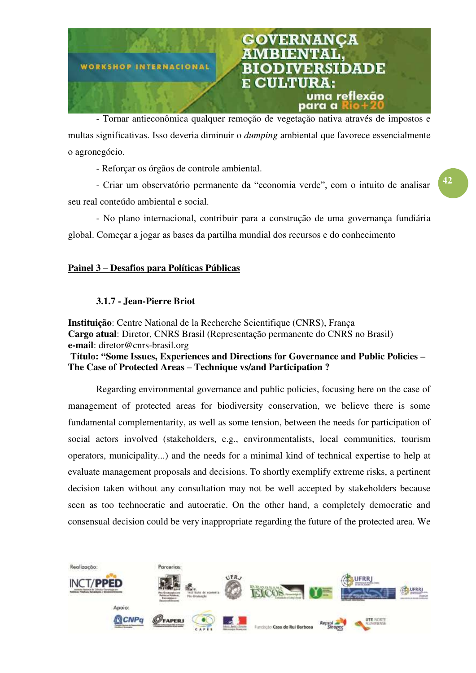

- Tornar antieconômica qualquer remoção de vegetação nativa através de impostos e multas significativas. Isso deveria diminuir o dumping ambiental que favorece essencialmente o agronegócio.

- Reforçar os órgãos de controle ambiental.

- Criar um observatório permanente da "economia verde", com o intuito de analisar seu real conteúdo ambiental e social.

- No plano internacional, contribuir para a construção de uma governança fundiária global. Começar a jogar as bases da partilha mundial dos recursos e do conhecimento

# Painel 3 **–** Desafios para Políticas Públicas

## 3.1.7 - Jean-Pierre Briot

Instituição: Centre National de la Recherche Scientifique (CNRS), França Cargo atual: Diretor, CNRS Brasil (Representação permanente do CNRS no Brasil) e-mail: diretor@cnrs-brasil.org

**Título: "**Some Issues, Experiences and Directions for Governance and Public Policies **–** The Case of Protected Areas **–** Technique vs/and Participation ?

Regarding environmental governance and public policies, focusing here on the case of management of protected areas for biodiversity conservation, we believe there is some fundamental complementarity, as well as some tension, between the needs for participation of social actors involved (stakeholders, e.g., environmentalists, local communities, tourism operators, municipality...) and the needs for a minimal kind of technical expertise to help at evaluate management proposals and decisions. To shortly exemplify extreme risks, a pertinent decision taken without any consultation may not be well accepted by stakeholders because seen as too technocratic and autocratic. On the other hand, a completely democratic and consensual decision could be very inappropriate regarding the future of the protected area. We



42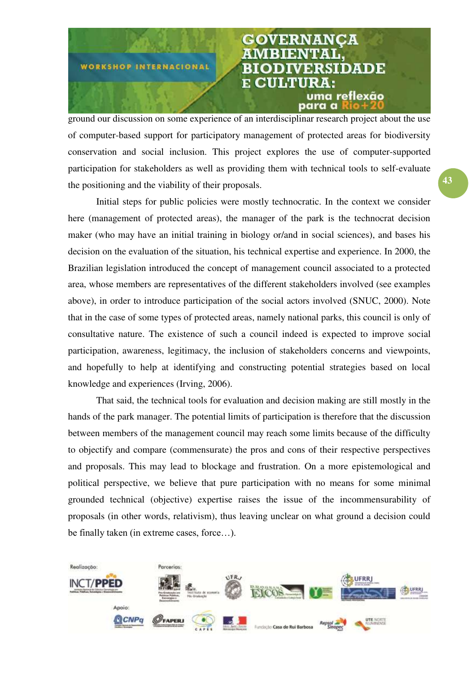

ground our discussion on some experience of an interdisciplinar research project about the use of computer-based support for participatory management of protected areas for biodiversity conservation and social inclusion. This project explores the use of computer-supported participation for stakeholders as well as providing them with technical tools to self-evaluate the positioning and the viability of their proposals.

Initial steps for public policies were mostly technocratic. In the context we consider here (management of protected areas), the manager of the park is the technocrat decision maker (who may have an initial training in biology or/and in social sciences), and bases his decision on the evaluation of the situation, his technical expertise and experience. In 2000, the Brazilian legislation introduced the concept of management council associated to a protected area, whose members are representatives of the different stakeholders involved (see examples above), in order to introduce participation of the social actors involved (SNUC, 2000). Note that in the case of some types of protected areas, namely national parks, this council is only of consultative nature. The existence of such a council indeed is expected to improve social participation, awareness, legitimacy, the inclusion of stakeholders concerns and viewpoints, and hopefully to help at identifying and constructing potential strategies based on local knowledge and experiences (Irving, 2006).

That said, the technical tools for evaluation and decision making are still mostly in the hands of the park manager. The potential limits of participation is therefore that the discussion between members of the management council may reach some limits because of the difficulty to objectify and compare (commensurate) the pros and cons of their respective perspectives and proposals. This may lead to blockage and frustration. On a more epistemological and political perspective, we believe that pure participation with no means for some minimal grounded technical (objective) expertise raises the issue of the incommensurability of proposals (in other words, relativism), thus leaving unclear on what ground a decision could be finally taken (in extreme cases, force…).

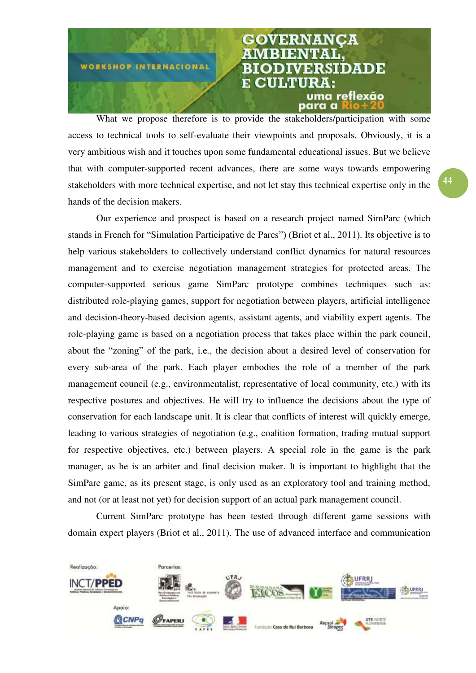

What we propose therefore is to provide the stakeholders/participation with some access to technical tools to self-evaluate their viewpoints and proposals. Obviously, it is a very ambitious wish and it touches upon some fundamental educational issues. But we believe that with computer-supported recent advances, there are some ways towards empowering stakeholders with more technical expertise, and not let stay this technical expertise only in the hands of the decision makers.

Our experience and prospect is based on a research project named SimParc (which stands in French for "Simulation Participative de Parcs") (Briot et al., 2011). Its objective is to help various stakeholders to collectively understand conflict dynamics for natural resources management and to exercise negotiation management strategies for protected areas. The computer-supported serious game SimParc prototype combines techniques such as: distributed role-playing games, support for negotiation between players, artificial intelligence and decision-theory-based decision agents, assistant agents, and viability expert agents. The role-playing game is based on a negotiation process that takes place within the park council, about the "zoning" of the park, i.e., the decision about a desired level of conservation for every sub-area of the park. Each player embodies the role of a member of the park management council (e.g., environmentalist, representative of local community, etc.) with its respective postures and objectives. He will try to influence the decisions about the type of conservation for each landscape unit. It is clear that conflicts of interest will quickly emerge, leading to various strategies of negotiation (e.g., coalition formation, trading mutual support for respective objectives, etc.) between players. A special role in the game is the park manager, as he is an arbiter and final decision maker. It is important to highlight that the SimParc game, as its present stage, is only used as an exploratory tool and training method, and not (or at least not yet) for decision support of an actual park management council.

Current SimParc prototype has been tested through different game sessions with domain expert players (Briot et al., 2011). The use of advanced interface and communication

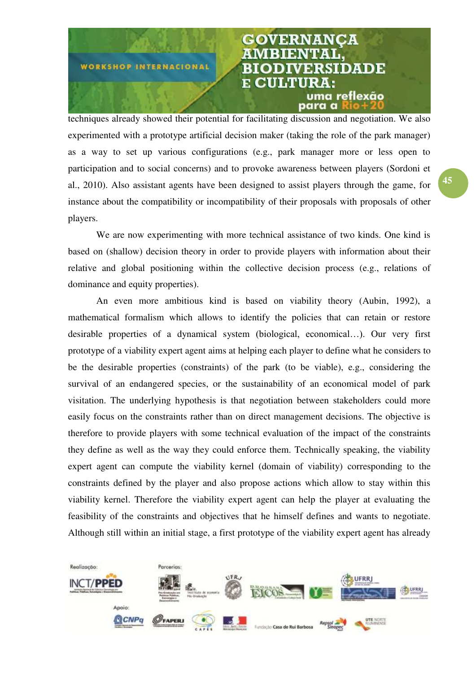

techniques already showed their potential for facilitating discussion and negotiation. We also experimented with a prototype artificial decision maker (taking the role of the park manager) as a way to set up various configurations (e.g., park manager more or less open to participation and to social concerns) and to provoke awareness between players (Sordoni et al., 2010). Also assistant agents have been designed to assist players through the game, for instance about the compatibility or incompatibility of their proposals with proposals of other players.

We are now experimenting with more technical assistance of two kinds. One kind is based on (shallow) decision theory in order to provide players with information about their relative and global positioning within the collective decision process (e.g., relations of dominance and equity properties).

An even more ambitious kind is based on viability theory (Aubin, 1992), a mathematical formalism which allows to identify the policies that can retain or restore desirable properties of a dynamical system (biological, economical…). Our very first prototype of a viability expert agent aims at helping each player to define what he considers to be the desirable properties (constraints) of the park (to be viable), e.g., considering the survival of an endangered species, or the sustainability of an economical model of park visitation. The underlying hypothesis is that negotiation between stakeholders could more easily focus on the constraints rather than on direct management decisions. The objective is therefore to provide players with some technical evaluation of the impact of the constraints they define as well as the way they could enforce them. Technically speaking, the viability expert agent can compute the viability kernel (domain of viability) corresponding to the constraints defined by the player and also propose actions which allow to stay within this viability kernel. Therefore the viability expert agent can help the player at evaluating the feasibility of the constraints and objectives that he himself defines and wants to negotiate. Although still within an initial stage, a first prototype of the viability expert agent has already

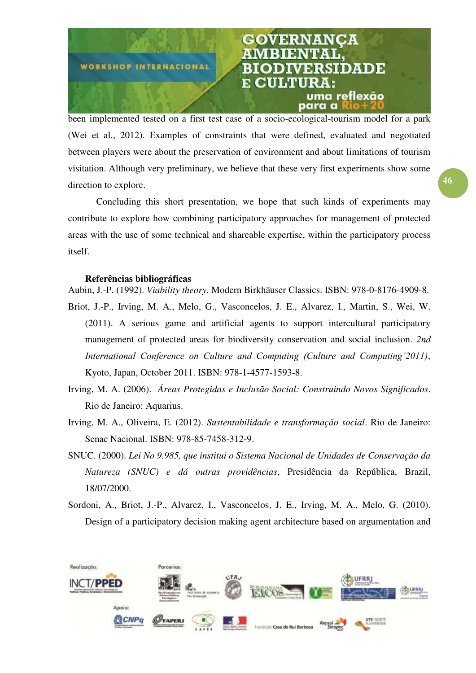

been implemented tested on a first test case of a socio-ecological-tourism model for a park (Wei et al., 2012). Examples of constraints that were defined, evaluated and negotiated between players were about the preservation of environment and about limitations of tourism visitation. Although very preliminary, we believe that these very first experiments show some direction to explore.

Concluding this short presentation, we hope that such kinds of experiments may contribute to explore how combining participatory approaches for management of protected areas with the use of some technical and shareable expertise, within the participatory process itself.

### Referências bibliográficas

Aubin, J.-P. (1992). Viability theory. Modern Birkhäuser Classics. ISBN: 978-0-8176-4909-8.

- Briot, J.-P., Irving, M. A., Melo, G., Vasconcelos, J. E., Alvarez, I., Martin, S., Wei, W. (2011). A serious game and artificial agents to support intercultural participatory management of protected areas for biodiversity conservation and social inclusion. 2nd *International Conference on Culture and Computing (Culture and Computing'2011)*, Kyoto, Japan, October 2011. ISBN: 978-1-4577-1593-8.
- Irving, M. A. (2006). Áreas Protegidas e Inclusão Social: Construindo Novos Significados. Rio de Janeiro: Aquarius.
- Irving, M. A., Oliveira, E. (2012). Sustentabilidade e transformação social. Rio de Janeiro: Senac Nacional. ISBN: 978-85-7458-312-9.
- SNUC. (2000). Lei No 9.985, que institui o Sistema Nacional de Unidades de Conservação da Natureza (SNUC) e dá outras providências, Presidência da República, Brazil, 18/07/2000.
- Sordoni, A., Briot, J.-P., Alvarez, I., Vasconcelos, J. E., Irving, M. A., Melo, G. (2010). Design of a participatory decision making agent architecture based on argumentation and